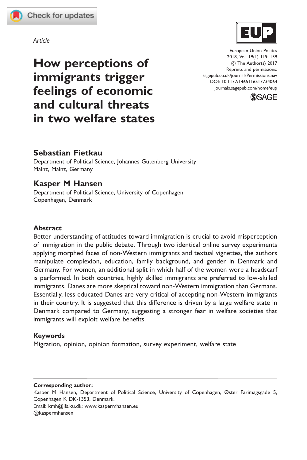

Article

How perceptions of immigrants trigger feelings of economic and cultural threats in two welfare states

European Union Politics 2018, Vol. 19(1) 119–139  $\circledcirc$  The Author(s) 2017 Reprints and permissions: [sagepub.co.uk/journalsPermissions.nav](https://uk.sagepub.com/en-gb/journals-permissions) DOI: [10.1177/1465116517734064](https://doi.org/10.1177/1465116517734064) <journals.sagepub.com/home/eup>



# Sebastian Fietkau

Department of Political Science, Johannes Gutenberg University Mainz, Mainz, Germany

## Kasper M Hansen

Department of Political Science, University of Copenhagen, Copenhagen, Denmark

### Abstract

Better understanding of attitudes toward immigration is crucial to avoid misperception of immigration in the public debate. Through two identical online survey experiments applying morphed faces of non-Western immigrants and textual vignettes, the authors manipulate complexion, education, family background, and gender in Denmark and Germany. For women, an additional split in which half of the women wore a headscarf is performed. In both countries, highly skilled immigrants are preferred to low-skilled immigrants. Danes are more skeptical toward non-Western immigration than Germans. Essentially, less educated Danes are very critical of accepting non-Western immigrants in their country. It is suggested that this difference is driven by a large welfare state in Denmark compared to Germany, suggesting a stronger fear in welfare societies that immigrants will exploit welfare benefits.

### Keywords

Migration, opinion, opinion formation, survey experiment, welfare state

#### Corresponding author:

Kasper M Hansen, Department of Political Science, University of Copenhagen, Øster Farimagsgade 5, Copenhagen K DK-1353, Denmark.

Email: kmh@ifs.ku.dk; www.kaspermhansen.eu @kaspermhansen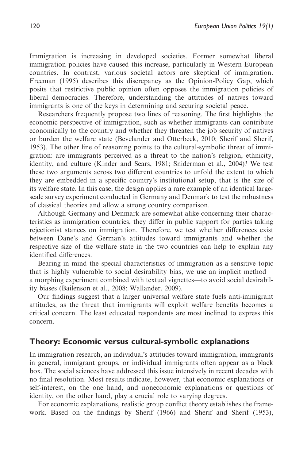Immigration is increasing in developed societies. Former somewhat liberal immigration policies have caused this increase, particularly in Western European countries. In contrast, various societal actors are skeptical of immigration. Freeman (1995) describes this discrepancy as the Opinion-Policy Gap, which posits that restrictive public opinion often opposes the immigration policies of liberal democracies. Therefore, understanding the attitudes of natives toward immigrants is one of the keys in determining and securing societal peace.

Researchers frequently propose two lines of reasoning. The first highlights the economic perspective of immigration, such as whether immigrants can contribute economically to the country and whether they threaten the job security of natives or burden the welfare state (Bevelander and Otterbeck, 2010; Sherif and Sherif, 1953). The other line of reasoning points to the cultural-symbolic threat of immigration: are immigrants perceived as a threat to the nation's religion, ethnicity, identity, and culture (Kinder and Sears, 1981; Sniderman et al., 2004)? We test these two arguments across two different countries to unfold the extent to which they are embedded in a specific country's institutional setup, that is the size of its welfare state. In this case, the design applies a rare example of an identical largescale survey experiment conducted in Germany and Denmark to test the robustness of classical theories and allow a strong country comparison.

Although Germany and Denmark are somewhat alike concerning their characteristics as immigration countries, they differ in public support for parties taking rejectionist stances on immigration. Therefore, we test whether differences exist between Dane's and German's attitudes toward immigrants and whether the respective size of the welfare state in the two countries can help to explain any identified differences.

Bearing in mind the special characteristics of immigration as a sensitive topic that is highly vulnerable to social desirability bias, we use an implicit method a morphing experiment combined with textual vignettes—to avoid social desirability biases (Bailenson et al., 2008; Wallander, 2009).

Our findings suggest that a larger universal welfare state fuels anti-immigrant attitudes, as the threat that immigrants will exploit welfare benefits becomes a critical concern. The least educated respondents are most inclined to express this concern.

### Theory: Economic versus cultural-symbolic explanations

In immigration research, an individual's attitudes toward immigration, immigrants in general, immigrant groups, or individual immigrants often appear as a black box. The social sciences have addressed this issue intensively in recent decades with no final resolution. Most results indicate, however, that economic explanations or self-interest, on the one hand, and noneconomic explanations or questions of identity, on the other hand, play a crucial role to varying degrees.

For economic explanations, realistic group conflict theory establishes the framework. Based on the findings by Sherif (1966) and Sherif and Sherif (1953),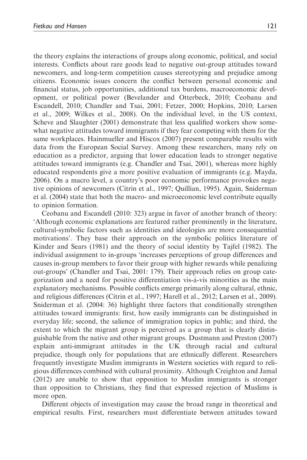the theory explains the interactions of groups along economic, political, and social interests. Conflicts about rare goods lead to negative out-group attitudes toward newcomers, and long-term competition causes stereotyping and prejudice among citizens. Economic issues concern the conflict between personal economic and financial status, job opportunities, additional tax burdens, macroeconomic development, or political power (Bevelander and Otterbeck, 2010; Ceobanu and Escandell, 2010; Chandler and Tsai, 2001; Fetzer, 2000; Hopkins, 2010; Larsen et al., 2009; Wilkes et al., 2008). On the individual level, in the US context, Scheve and Slaughter (2001) demonstrate that less qualified workers show somewhat negative attitudes toward immigrants if they fear competing with them for the same workplaces. Hainmueller and Hiscox (2007) present comparable results with data from the European Social Survey. Among these researchers, many rely on education as a predictor, arguing that lower education leads to stronger negative attitudes toward immigrants (e.g. Chandler and Tsai, 2001), whereas more highly educated respondents give a more positive evaluation of immigrants (e.g. Mayda, 2006). On a macro level, a country's poor economic performance provokes negative opinions of newcomers (Citrin et al., 1997; Quillian, 1995). Again, Sniderman et al. (2004) state that both the macro- and microeconomic level contribute equally to opinion formation.

Ceobanu and Escandell (2010: 323) argue in favor of another branch of theory: 'Although economic explanations are featured rather prominently in the literature, cultural-symbolic factors such as identities and ideologies are more consequential motivations'. They base their approach on the symbolic politics literature of Kinder and Sears (1981) and the theory of social identity by Tajfel (1982). The individual assignment to in-groups 'increases perceptions of group differences and causes in-group members to favor their group with higher rewards while penalizing out-groups' (Chandler and Tsai, 2001: 179). Their approach relies on group categorization and a need for positive differentiation vis-a`-vis minorities as the main explanatory mechanisms. Possible conflicts emerge primarily along cultural, ethnic, and religious differences (Citrin et al., 1997; Harell et al., 2012; Larsen et al., 2009). Sniderman et al. (2004: 36) highlight three factors that conditionally strengthen attitudes toward immigrants: first, how easily immigrants can be distinguished in everyday life; second, the salience of immigration topics in public; and third, the extent to which the migrant group is perceived as a group that is clearly distinguishable from the native and other migrant groups. Dustmann and Preston (2007) explain anti-immigrant attitudes in the UK through racial and cultural prejudice, though only for populations that are ethnically different. Researchers frequently investigate Muslim immigrants in Western societies with regard to religious differences combined with cultural proximity. Although Creighton and Jamal (2012) are unable to show that opposition to Muslim immigrants is stronger than opposition to Christians, they find that expressed rejection of Muslims is more open.

Different objects of investigation may cause the broad range in theoretical and empirical results. First, researchers must differentiate between attitudes toward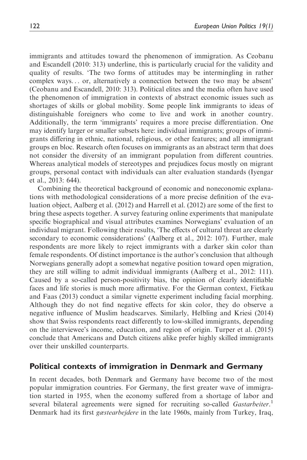immigrants and attitudes toward the phenomenon of immigration. As Ceobanu and Escandell (2010: 313) underline, this is particularly crucial for the validity and quality of results. 'The two forms of attitudes may be intermingling in rather complex ways... or, alternatively a connection between the two may be absent' (Ceobanu and Escandell, 2010: 313). Political elites and the media often have used the phenomenon of immigration in contexts of abstract economic issues such as shortages of skills or global mobility. Some people link immigrants to ideas of distinguishable foreigners who come to live and work in another country. Additionally, the term 'immigrants' requires a more precise differentiation. One may identify larger or smaller subsets here: individual immigrants; groups of immigrants differing in ethnic, national, religious, or other features; and all immigrant groups en bloc. Research often focuses on immigrants as an abstract term that does not consider the diversity of an immigrant population from different countries. Whereas analytical models of stereotypes and prejudices focus mostly on migrant groups, personal contact with individuals can alter evaluation standards (Iyengar et al., 2013: 644).

Combining the theoretical background of economic and noneconomic explanations with methodological considerations of a more precise definition of the evaluation object, Aalberg et al. (2012) and Harrell et al. (2012) are some of the first to bring these aspects together. A survey featuring online experiments that manipulate specific biographical and visual attributes examines Norwegians' evaluation of an individual migrant. Following their results, 'The effects of cultural threat are clearly secondary to economic considerations' (Aalberg et al., 2012: 107). Further, male respondents are more likely to reject immigrants with a darker skin color than female respondents. Of distinct importance is the author's conclusion that although Norwegians generally adopt a somewhat negative position toward open migration, they are still willing to admit individual immigrants (Aalberg et al., 2012: 111). Caused by a so-called person-positivity bias, the opinion of clearly identifiable faces and life stories is much more affirmative. For the German context, Fietkau and Faas (2013) conduct a similar vignette experiment including facial morphing. Although they do not find negative effects for skin color, they do observe a negative influence of Muslim headscarves. Similarly, Helbling and Kriesi (2014) show that Swiss respondents react differently to low-skilled immigrants, depending on the interviewee's income, education, and region of origin. Turper et al. (2015) conclude that Americans and Dutch citizens alike prefer highly skilled immigrants over their unskilled counterparts.

### Political contexts of immigration in Denmark and Germany

In recent decades, both Denmark and Germany have become two of the most popular immigration countries. For Germany, the first greater wave of immigration started in 1955, when the economy suffered from a shortage of labor and several bilateral agreements were signed for recruiting so-called *Gastarbeiter*.<sup>1</sup> Denmark had its first *gæstearbejdere* in the late 1960s, mainly from Turkey, Iraq,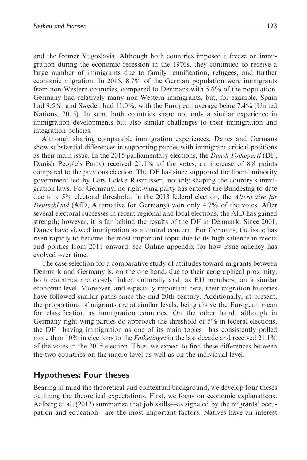and the former Yugoslavia. Although both countries imposed a freeze on immigration during the economic recession in the 1970s, they continued to receive a large number of immigrants due to family reunification, refugees, and further economic migration. In 2015, 8.7% of the German population were immigrants from non-Western countries, compared to Denmark with 5.6% of the population. Germany had relatively many non-Western immigrants, but, for example, Spain had 9.5%, and Sweden had 11.0%, with the European average being 7.4% (United Nations, 2015). In sum, both countries share not only a similar experience in immigration developments but also similar challenges to their immigration and integration policies.

Although sharing comparable immigration experiences, Danes and Germans show substantial differences in supporting parties with immigrant-critical positions as their main issue. In the 2015 parliamentary elections, the Dansk Folkeparti (DF, Danish People's Party) received 21.1% of the votes, an increase of 8.8 points compared to the previous election. The DF has since supported the liberal minority government led by Lars Løkke Rasmussen, notably shaping the country's immigration laws. For Germany, no right-wing party has entered the Bundestag to date due to a  $5\%$  electoral threshold. In the 2013 federal election, the *Alternative fur* Deutschland (AfD, Alternative for Germany) won only 4.7% of the votes. After several electoral successes in recent regional and local elections, the AfD has gained strength; however, it is far behind the results of the DF in Denmark. Since 2001, Danes have viewed immigration as a central concern. For Germans, the issue has risen rapidly to become the most important topic due to its high salience in media and politics from 2011 onward; see Online appendix for how issue saliency has evolved over time.

The case selection for a comparative study of attitudes toward migrants between Denmark and Germany is, on the one hand, due to their geographical proximity, both countries are closely linked culturally and, as EU members, on a similar economic level. Moreover, and especially important here, their migration histories have followed similar paths since the mid-20th century. Additionally, at present, the proportions of migrants are at similar levels, being above the European mean for classification as immigration countries. On the other hand, although in Germany right-wing parties do approach the threshold of 5% in federal elections, the DF—having immigration as one of its main topics—has consistently polled more than 10% in elections to the *Folketinget* in the last decade and received 21.1% of the votes in the 2015 election. Thus, we expect to find these differences between the two countries on the macro level as well as on the individual level.

## Hypotheses: Four theses

Bearing in mind the theoretical and contextual background, we develop four theses outlining the theoretical expectations. First, we focus on economic explanations. Aalberg et al. (2012) summarize that job skills—as signaled by the migrants' occupation and education—are the most important factors. Natives have an interest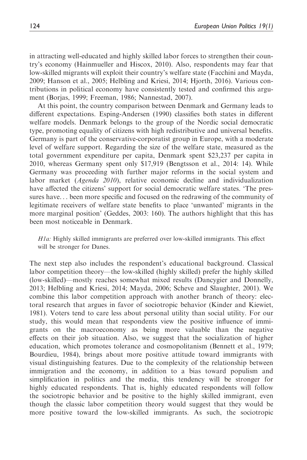in attracting well-educated and highly skilled labor forces to strengthen their country's economy (Hainmueller and Hiscox, 2010). Also, respondents may fear that low-skilled migrants will exploit their country's welfare state (Facchini and Mayda, 2009; Hanson et al., 2005; Helbling and Kriesi, 2014; Hjorth, 2016). Various contributions in political economy have consistently tested and confirmed this argument (Borjas, 1999; Freeman, 1986; Nannestad, 2007).

At this point, the country comparison between Denmark and Germany leads to different expectations. Esping-Andersen (1990) classifies both states in different welfare models. Denmark belongs to the group of the Nordic social democratic type, promoting equality of citizens with high redistributive and universal benefits. Germany is part of the conservative-corporatist group in Europe, with a moderate level of welfare support. Regarding the size of the welfare state, measured as the total government expenditure per capita, Denmark spent \$23,237 per capita in 2010, whereas Germany spent only \$17,919 (Bengtsson et al., 2014: 14). While Germany was proceeding with further major reforms in the social system and labor market (*Agenda 2010*), relative economic decline and individualization have affected the citizens' support for social democratic welfare states. 'The pressures have... been more specific and focused on the redrawing of the community of legitimate receivers of welfare state benefits to place 'unwanted' migrants in the more marginal position' (Geddes, 2003: 160). The authors highlight that this has been most noticeable in Denmark.

H1a: Highly skilled immigrants are preferred over low-skilled immigrants. This effect will be stronger for Danes.

The next step also includes the respondent's educational background. Classical labor competition theory—the low-skilled (highly skilled) prefer the highly skilled (low-skilled)—mostly reaches somewhat mixed results (Dancygier and Donnelly, 2013; Helbling and Kriesi, 2014; Mayda, 2006; Scheve and Slaughter, 2001). We combine this labor competition approach with another branch of theory: electoral research that argues in favor of sociotropic behavior (Kinder and Kiewiet, 1981). Voters tend to care less about personal utility than social utility. For our study, this would mean that respondents view the positive influence of immigrants on the macroeconomy as being more valuable than the negative effects on their job situation. Also, we suggest that the socialization of higher education, which promotes tolerance and cosmopolitanism (Bennett et al., 1979; Bourdieu, 1984), brings about more positive attitude toward immigrants with visual distinguishing features. Due to the complexity of the relationship between immigration and the economy, in addition to a bias toward populism and simplification in politics and the media, this tendency will be stronger for highly educated respondents. That is, highly educated respondents will follow the sociotropic behavior and be positive to the highly skilled immigrant, even though the classic labor competition theory would suggest that they would be more positive toward the low-skilled immigrants. As such, the sociotropic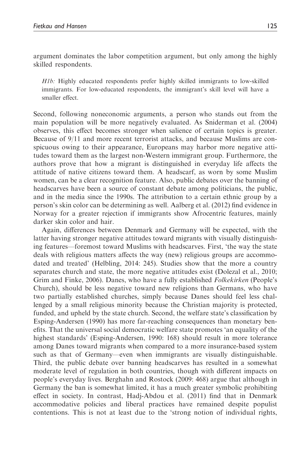argument dominates the labor competition argument, but only among the highly skilled respondents.

H1b: Highly educated respondents prefer highly skilled immigrants to low-skilled immigrants. For low-educated respondents, the immigrant's skill level will have a smaller effect.

Second, following noneconomic arguments, a person who stands out from the main population will be more negatively evaluated. As Sniderman et al. (2004) observes, this effect becomes stronger when salience of certain topics is greater. Because of 9/11 and more recent terrorist attacks, and because Muslims are conspicuous owing to their appearance, Europeans may harbor more negative attitudes toward them as the largest non-Western immigrant group. Furthermore, the authors prove that how a migrant is distinguished in everyday life affects the attitude of native citizens toward them. A headscarf, as worn by some Muslim women, can be a clear recognition feature. Also, public debates over the banning of headscarves have been a source of constant debate among politicians, the public, and in the media since the 1990s. The attribution to a certain ethnic group by a person's skin color can be determining as well. Aalberg et al. (2012) find evidence in Norway for a greater rejection if immigrants show Afrocentric features, mainly darker skin color and hair.

Again, differences between Denmark and Germany will be expected, with the latter having stronger negative attitudes toward migrants with visually distinguishing features—foremost toward Muslims with headscarves. First, 'the way the state deals with religious matters affects the way (new) religious groups are accommodated and treated' (Helbling, 2014: 245). Studies show that the more a country separates church and state, the more negative attitudes exist (Dolezal et al., 2010; Grim and Finke, 2006). Danes, who have a fully established Folkekirken (People's Church), should be less negative toward new religions than Germans, who have two partially established churches, simply because Danes should feel less challenged by a small religious minority because the Christian majority is protected, funded, and upheld by the state church. Second, the welfare state's classification by Esping-Andersen (1990) has more far-reaching consequences than monetary benefits. That the universal social democratic welfare state promotes 'an equality of the highest standards' (Esping-Andersen, 1990: 168) should result in more tolerance among Danes toward migrants when compared to a more insurance-based system such as that of Germany—even when immigrants are visually distinguishable. Third, the public debate over banning headscarves has resulted in a somewhat moderate level of regulation in both countries, though with different impacts on people's everyday lives. Berghahn and Rostock (2009: 468) argue that although in Germany the ban is somewhat limited, it has a much greater symbolic prohibiting effect in society. In contrast, Hadj-Abdou et al. (2011) find that in Denmark accommodative policies and liberal practices have remained despite populist contentions. This is not at least due to the 'strong notion of individual rights,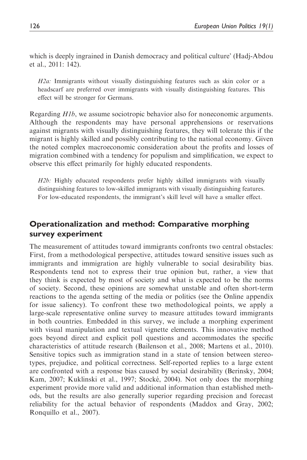which is deeply ingrained in Danish democracy and political culture' (Hadj-Abdou et al., 2011: 142).

H2a: Immigrants without visually distinguishing features such as skin color or a headscarf are preferred over immigrants with visually distinguishing features. This effect will be stronger for Germans.

Regarding H1b, we assume sociotropic behavior also for noneconomic arguments. Although the respondents may have personal apprehensions or reservations against migrants with visually distinguishing features, they will tolerate this if the migrant is highly skilled and possibly contributing to the national economy. Given the noted complex macroeconomic consideration about the profits and losses of migration combined with a tendency for populism and simplification, we expect to observe this effect primarily for highly educated respondents.

H2b: Highly educated respondents prefer highly skilled immigrants with visually distinguishing features to low-skilled immigrants with visually distinguishing features. For low-educated respondents, the immigrant's skill level will have a smaller effect.

## Operationalization and method: Comparative morphing survey experiment

The measurement of attitudes toward immigrants confronts two central obstacles: First, from a methodological perspective, attitudes toward sensitive issues such as immigrants and immigration are highly vulnerable to social desirability bias. Respondents tend not to express their true opinion but, rather, a view that they think is expected by most of society and what is expected to be the norms of society. Second, these opinions are somewhat unstable and often short-term reactions to the agenda setting of the media or politics (see the Online appendix for issue saliency). To confront these two methodological points, we apply a large-scale representative online survey to measure attitudes toward immigrants in both countries. Embedded in this survey, we include a morphing experiment with visual manipulation and textual vignette elements. This innovative method goes beyond direct and explicit poll questions and accommodates the specific characteristics of attitude research (Bailenson et al., 2008; Martens et al., 2010). Sensitive topics such as immigration stand in a state of tension between stereotypes, prejudice, and political correctness. Self-reported replies to a large extent are confronted with a response bias caused by social desirability (Berinsky, 2004; Kam, 2007; Kuklinski et al., 1997; Stocké, 2004). Not only does the morphing experiment provide more valid and additional information than established methods, but the results are also generally superior regarding precision and forecast reliability for the actual behavior of respondents (Maddox and Gray, 2002; Ronquillo et al., 2007).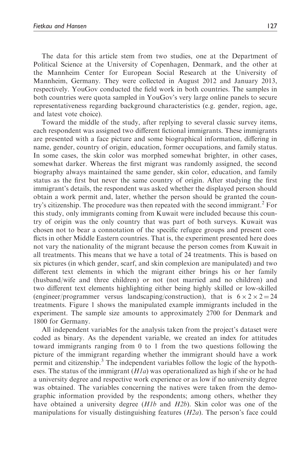The data for this article stem from two studies, one at the Department of Political Science at the University of Copenhagen, Denmark, and the other at the Mannheim Center for European Social Research at the University of Mannheim, Germany. They were collected in August 2012 and January 2013, respectively. YouGov conducted the field work in both countries. The samples in both countries were quota sampled in YouGov's very large online panels to secure representativeness regarding background characteristics (e.g. gender, region, age, and latest vote choice).

Toward the middle of the study, after replying to several classic survey items, each respondent was assigned two different fictional immigrants. These immigrants are presented with a face picture and some biographical information, differing in name, gender, country of origin, education, former occupations, and family status. In some cases, the skin color was morphed somewhat brighter, in other cases, somewhat darker. Whereas the first migrant was randomly assigned, the second biography always maintained the same gender, skin color, education, and family status as the first but never the same country of origin. After studying the first immigrant's details, the respondent was asked whether the displayed person should obtain a work permit and, later, whether the person should be granted the country's citizenship. The procedure was then repeated with the second immigrant.<sup>2</sup> For this study, only immigrants coming from Kuwait were included because this country of origin was the only country that was part of both surveys. Kuwait was chosen not to bear a connotation of the specific refugee groups and present conflicts in other Middle Eastern countries. That is, the experiment presented here does not vary the nationality of the migrant because the person comes from Kuwait in all treatments. This means that we have a total of 24 treatments. This is based on six pictures (in which gender, scarf, and skin complexion are manipulated) and two different text elements in which the migrant either brings his or her family (husband/wife and three children) or not (not married and no children) and two different text elements highlighting either being highly skilled or low-skilled (engineer/programmer versus landscaping/construction), that is  $6 \times 2 \times 2 = 24$ treatments. Figure 1 shows the manipulated example immigrants included in the experiment. The sample size amounts to approximately 2700 for Denmark and 1800 for Germany.

All independent variables for the analysis taken from the project's dataset were coded as binary. As the dependent variable, we created an index for attitudes toward immigrants ranging from 0 to 1 from the two questions following the picture of the immigrant regarding whether the immigrant should have a work permit and citizenship.<sup>3</sup> The independent variables follow the logic of the hypotheses. The status of the immigrant  $(H1a)$  was operationalized as high if she or he had a university degree and respective work experience or as low if no university degree was obtained. The variables concerning the natives were taken from the demographic information provided by the respondents; among others, whether they have obtained a university degree (H1b and H2b). Skin color was one of the manipulations for visually distinguishing features  $(H2a)$ . The person's face could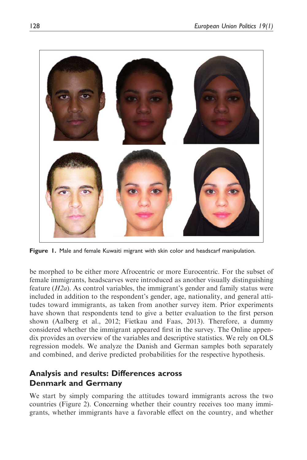

Figure 1. Male and female Kuwaiti migrant with skin color and headscarf manipulation.

be morphed to be either more Afrocentric or more Eurocentric. For the subset of female immigrants, headscarves were introduced as another visually distinguishing feature  $(H2a)$ . As control variables, the immigrant's gender and family status were included in addition to the respondent's gender, age, nationality, and general attitudes toward immigrants, as taken from another survey item. Prior experiments have shown that respondents tend to give a better evaluation to the first person shown (Aalberg et al., 2012; Fietkau and Faas, 2013). Therefore, a dummy considered whether the immigrant appeared first in the survey. The Online appendix provides an overview of the variables and descriptive statistics. We rely on OLS regression models. We analyze the Danish and German samples both separately and combined, and derive predicted probabilities for the respective hypothesis.

# Analysis and results: Differences across Denmark and Germany

We start by simply comparing the attitudes toward immigrants across the two countries (Figure 2). Concerning whether their country receives too many immigrants, whether immigrants have a favorable effect on the country, and whether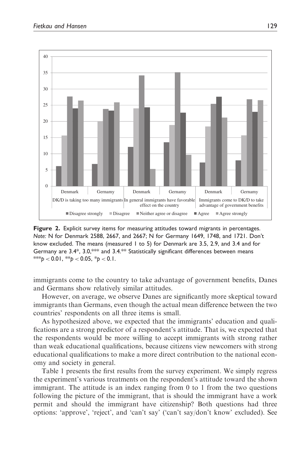

**Figure 2.** Explicit survey items for measuring attitudes toward migrants in percentages. Note: N for Denmark 2588, 2667, and 2667; N for Germany 1649, 1748, and 1721. Don't know excluded. The means (measured 1 to 5) for Denmark are 3.5, 2.9, and 3.4 and for Germany are 3.4\*, 3.0,\*\*\* and 3.4.\*\* Statistically significant differences between means \*\*\* $p < 0.01$ , \*\* $p < 0.05$ , \* $p < 0.1$ .

immigrants come to the country to take advantage of government benefits, Danes and Germans show relatively similar attitudes.

However, on average, we observe Danes are significantly more skeptical toward immigrants than Germans, even though the actual mean difference between the two countries' respondents on all three items is small.

As hypothesized above, we expected that the immigrants' education and qualifications are a strong predictor of a respondent's attitude. That is, we expected that the respondents would be more willing to accept immigrants with strong rather than weak educational qualifications, because citizens view newcomers with strong educational qualifications to make a more direct contribution to the national economy and society in general.

Table 1 presents the first results from the survey experiment. We simply regress the experiment's various treatments on the respondent's attitude toward the shown immigrant. The attitude is an index ranging from 0 to 1 from the two questions following the picture of the immigrant, that is should the immigrant have a work permit and should the immigrant have citizenship? Both questions had three options: 'approve', 'reject', and 'can't say' ('can't say/don't know' excluded). See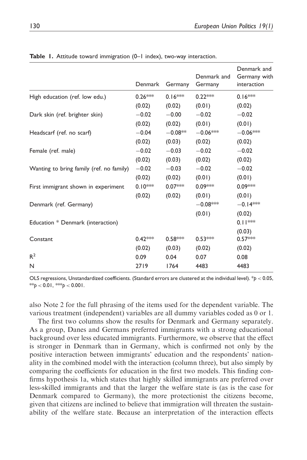|                                          | Denmark   | Germany   | Denmark and<br>Germany | Denmark and<br>Germany with<br>interaction |
|------------------------------------------|-----------|-----------|------------------------|--------------------------------------------|
| High education (ref. low edu.)           | $0.26***$ | $0.16***$ | $0.22***$              | $0.16***$                                  |
|                                          | (0.02)    | (0.02)    | (0.01)                 | (0.02)                                     |
| Dark skin (ref. brighter skin)           | $-0.02$   | $-0.00$   | $-0.02$                | $-0.02$                                    |
|                                          | (0.02)    | (0.02)    | (0.01)                 | (0.01)                                     |
| Headscarf (ref. no scarf)                | $-0.04$   | $-0.08**$ | $-0.06***$             | $-0.06***$                                 |
|                                          | (0.02)    | (0.03)    | (0.02)                 | (0.02)                                     |
| Female (ref. male)                       | $-0.02$   | $-0.03$   | $-0.02$                | $-0.02$                                    |
|                                          | (0.02)    | (0.03)    | (0.02)                 | (0.02)                                     |
| Wanting to bring family (ref. no family) | $-0.02$   | $-0.03$   | $-0.02$                | $-0.02$                                    |
|                                          | (0.02)    | (0.02)    | (0.01)                 | (0.01)                                     |
| First immigrant shown in experiment      | $0.10***$ | $0.07***$ | $0.09***$              | $0.09***$                                  |
|                                          | (0.02)    | (0.02)    | (0.01)                 | (0.01)                                     |
| Denmark (ref. Germany)                   |           |           | $-0.08***$             | $-0.14***$                                 |
|                                          |           |           | (0.01)                 | (0.02)                                     |
| Education * Denmark (interaction)        |           |           |                        | $0.11***$                                  |
|                                          |           |           |                        | (0.03)                                     |
| Constant                                 | $0.42***$ | $0.58***$ | $0.53***$              | $0.57***$                                  |
|                                          | (0.02)    | (0.03)    | (0.02)                 | (0.02)                                     |
| $R^2$                                    | 0.09      | 0.04      | 0.07                   | 0.08                                       |
| N                                        | 2719      | 1764      | 4483                   | 4483                                       |

Table 1. Attitude toward immigration (0–1 index), two-way interaction.

OLS regressions, Unstandardized coefficients. (Standard errors are clustered at the individual level).  $*_p$  < 0.05,  $^{***}$ p < 0.01,  $^{***}$ p < 0.001.

also Note 2 for the full phrasing of the items used for the dependent variable. The various treatment (independent) variables are all dummy variables coded as 0 or 1.

The first two columns show the results for Denmark and Germany separately. As a group, Danes and Germans preferred immigrants with a strong educational background over less educated immigrants. Furthermore, we observe that the effect is stronger in Denmark than in Germany, which is confirmed not only by the positive interaction between immigrants' education and the respondents' nationality in the combined model with the interaction (column three), but also simply by comparing the coefficients for education in the first two models. This finding confirms hypothesis 1a, which states that highly skilled immigrants are preferred over less-skilled immigrants and that the larger the welfare state is (as is the case for Denmark compared to Germany), the more protectionist the citizens become, given that citizens are inclined to believe that immigration will threaten the sustainability of the welfare state. Because an interpretation of the interaction effects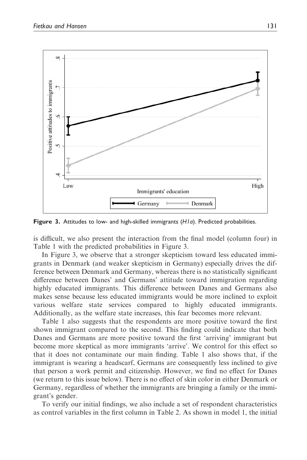

Figure 3. Attitudes to low- and high-skilled immigrants (H1a). Predicted probabilities.

is difficult, we also present the interaction from the final model (column four) in Table 1 with the predicted probabilities in Figure 3.

In Figure 3, we observe that a stronger skepticism toward less educated immigrants in Denmark (and weaker skepticism in Germany) especially drives the difference between Denmark and Germany, whereas there is no statistically significant difference between Danes' and Germans' attitude toward immigration regarding highly educated immigrants. This difference between Danes and Germans also makes sense because less educated immigrants would be more inclined to exploit various welfare state services compared to highly educated immigrants. Additionally, as the welfare state increases, this fear becomes more relevant.

Table 1 also suggests that the respondents are more positive toward the first shown immigrant compared to the second. This finding could indicate that both Danes and Germans are more positive toward the first 'arriving' immigrant but become more skeptical as more immigrants 'arrive'. We control for this effect so that it does not contaminate our main finding. Table 1 also shows that, if the immigrant is wearing a headscarf, Germans are consequently less inclined to give that person a work permit and citizenship. However, we find no effect for Danes (we return to this issue below). There is no effect of skin color in either Denmark or Germany, regardless of whether the immigrants are bringing a family or the immigrant's gender.

To verify our initial findings, we also include a set of respondent characteristics as control variables in the first column in Table 2. As shown in model 1, the initial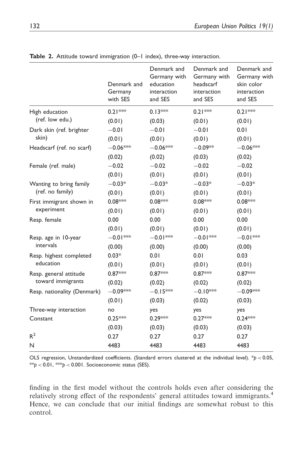|                                             | Denmark and<br>Germany<br>with SES | Denmark and<br>Germany with<br>education<br>interaction<br>and SES | Denmark and<br>Germany with<br>headscarf<br>interaction<br>and SES | Denmark and<br>Germany with<br>skin color<br>interaction<br>and SES |
|---------------------------------------------|------------------------------------|--------------------------------------------------------------------|--------------------------------------------------------------------|---------------------------------------------------------------------|
| High education<br>(ref. low edu.)           | $0.21***$                          | $0.13***$                                                          | $0.21***$                                                          | $0.21***$                                                           |
|                                             | (0.01)                             | (0.03)                                                             | (0.01)                                                             | (0.01)                                                              |
| Dark skin (ref. brighter<br>skin)           | $-0.01$                            | $-0.01$                                                            | $-0.01$                                                            | 0.01                                                                |
|                                             | (0.01)                             | (0.01)                                                             | (0.01)                                                             | (0.01)                                                              |
| Headscarf (ref. no scarf)                   | $-0.06***$                         | $-0.06***$                                                         | $-0.09**$                                                          | $-0.06***$                                                          |
|                                             | (0.02)                             | (0.02)                                                             | (0.03)                                                             | (0.02)                                                              |
| Female (ref. male)                          | $-0.02$                            | $-0.02$                                                            | $-0.02$                                                            | $-0.02$                                                             |
|                                             | (0.01)                             | (0.01)                                                             | (0.01)                                                             | (0.01)                                                              |
| Wanting to bring family<br>(ref. no family) | $-0.03*$                           | $-0.03*$                                                           | $-0.03*$                                                           | $-0.03*$                                                            |
|                                             | (0.01)                             | (0.01)                                                             | (0.01)                                                             | (0.01)                                                              |
| First immigrant shown in<br>experiment      | $0.08***$                          | $0.08***$                                                          | $0.08***$                                                          | $0.08***$                                                           |
|                                             | (0.01)                             | (0.01)                                                             | (0.01)                                                             | (0.01)                                                              |
| Resp. female                                | 0.00                               | 0.00                                                               | 0.00                                                               | 0.00                                                                |
|                                             | (0.01)                             | (0.01)                                                             | (0.01)                                                             | (0.01)                                                              |
| Resp. age in 10-year<br>intervals           | $-0.01***$                         | $-0.01***$                                                         | $-0.01***$                                                         | $-0.01***$                                                          |
|                                             | (0.00)                             | (0.00)                                                             | (0.00)                                                             | (0.00)                                                              |
| Resp. highest completed<br>education        | $0.03*$                            | 0.01                                                               | 0.01                                                               | 0.03                                                                |
|                                             | (0.01)                             | (0.01)                                                             | (0.01)                                                             | (0.01)                                                              |
| Resp. general attitude<br>toward immigrants | $0.87***$                          | $0.87***$                                                          | $0.87***$                                                          | $0.87***$                                                           |
|                                             | (0.02)                             | (0.02)                                                             | (0.02)                                                             | (0.02)                                                              |
| Resp. nationality (Denmark)                 | $-0.09***$                         | $-0.15***$                                                         | $-0.10***$                                                         | $-0.09***$                                                          |
|                                             | (0.01)                             | (0.03)                                                             | (0.02)                                                             | (0.03)                                                              |
| Three-way interaction                       | no                                 | yes                                                                | yes                                                                | yes                                                                 |
| Constant                                    | $0.25***$                          | 0.29***                                                            | $0.27***$                                                          | $0.24***$                                                           |
|                                             | (0.03)                             | (0.03)                                                             | (0.03)                                                             | (0.03)                                                              |
| $R^2$                                       | 0.27                               | 0.27                                                               | 0.27                                                               | 0.27                                                                |
| N                                           | 4483                               | 4483                                                               | 4483                                                               | 4483                                                                |

Table 2. Attitude toward immigration (0-1 index), three-way interaction.

OLS regression, Unstandardized coefficients. (Standard errors clustered at the individual level).  $*_p$  < 0.05,  $*$  $p$  < 0.01,  $*$  $p$  < 0.001. Socioeconomic status (SES).

finding in the first model without the controls holds even after considering the relatively strong effect of the respondents' general attitudes toward immigrants.<sup>4</sup> Hence, we can conclude that our initial findings are somewhat robust to this control.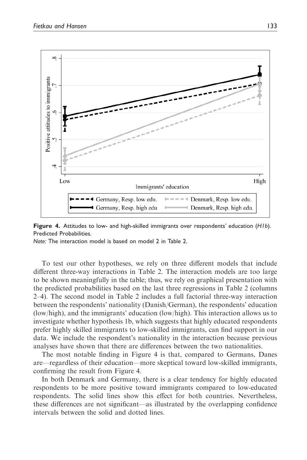



Note: The interaction model is based on model 2 in Table 2.

To test our other hypotheses, we rely on three different models that include different three-way interactions in Table 2. The interaction models are too large to be shown meaningfully in the table; thus, we rely on graphical presentation with the predicted probabilities based on the last three regressions in Table 2 (columns 2–4). The second model in Table 2 includes a full factorial three-way interaction between the respondents' nationality (Danish/German), the respondents' education (low/high), and the immigrants' education (low/high). This interaction allows us to investigate whether hypothesis 1b, which suggests that highly educated respondents prefer highly skilled immigrants to low-skilled immigrants, can find support in our data. We include the respondent's nationality in the interaction because previous analyses have shown that there are differences between the two nationalities.

The most notable finding in Figure 4 is that, compared to Germans, Danes are—regardless of their education—more skeptical toward low-skilled immigrants, confirming the result from Figure 4.

In both Denmark and Germany, there is a clear tendency for highly educated respondents to be more positive toward immigrants compared to low-educated respondents. The solid lines show this effect for both countries. Nevertheless, these differences are not significant—as illustrated by the overlapping confidence intervals between the solid and dotted lines.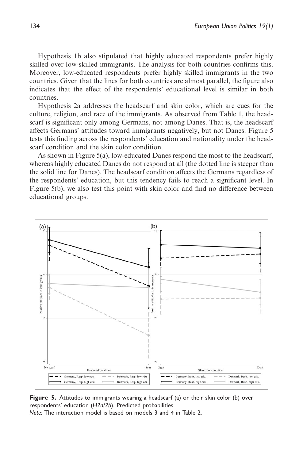Hypothesis 1b also stipulated that highly educated respondents prefer highly skilled over low-skilled immigrants. The analysis for both countries confirms this. Moreover, low-educated respondents prefer highly skilled immigrants in the two countries. Given that the lines for both countries are almost parallel, the figure also indicates that the effect of the respondents' educational level is similar in both countries.

Hypothesis 2a addresses the headscarf and skin color, which are cues for the culture, religion, and race of the immigrants. As observed from Table 1, the headscarf is significant only among Germans, not among Danes. That is, the headscarf affects Germans' attitudes toward immigrants negatively, but not Danes. Figure 5 tests this finding across the respondents' education and nationality under the headscarf condition and the skin color condition.

As shown in Figure 5(a), low-educated Danes respond the most to the headscarf, whereas highly educated Danes do not respond at all (the dotted line is steeper than the solid line for Danes). The headscarf condition affects the Germans regardless of the respondents' education, but this tendency fails to reach a significant level. In Figure 5(b), we also test this point with skin color and find no difference between educational groups.





Note: The interaction model is based on models 3 and 4 in Table 2.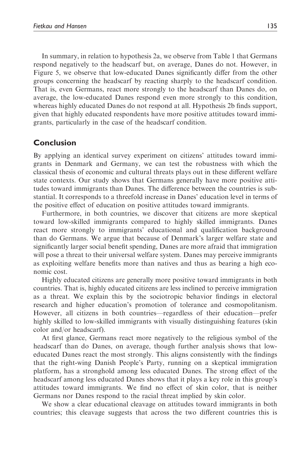In summary, in relation to hypothesis 2a, we observe from Table 1 that Germans respond negatively to the headscarf but, on average, Danes do not. However, in Figure 5, we observe that low-educated Danes significantly differ from the other groups concerning the headscarf by reacting sharply to the headscarf condition. That is, even Germans, react more strongly to the headscarf than Danes do, on average, the low-educated Danes respond even more strongly to this condition, whereas highly educated Danes do not respond at all. Hypothesis 2b finds support, given that highly educated respondents have more positive attitudes toward immigrants, particularly in the case of the headscarf condition.

# Conclusion

By applying an identical survey experiment on citizens' attitudes toward immigrants in Denmark and Germany, we can test the robustness with which the classical thesis of economic and cultural threats plays out in these different welfare state contexts. Our study shows that Germans generally have more positive attitudes toward immigrants than Danes. The difference between the countries is substantial. It corresponds to a threefold increase in Danes' education level in terms of the positive effect of education on positive attitudes toward immigrants.

Furthermore, in both countries, we discover that citizens are more skeptical toward low-skilled immigrants compared to highly skilled immigrants. Danes react more strongly to immigrants' educational and qualification background than do Germans. We argue that because of Denmark's larger welfare state and significantly larger social benefit spending, Danes are more afraid that immigration will pose a threat to their universal welfare system. Danes may perceive immigrants as exploiting welfare benefits more than natives and thus as bearing a high economic cost.

Highly educated citizens are generally more positive toward immigrants in both countries. That is, highly educated citizens are less inclined to perceive immigration as a threat. We explain this by the sociotropic behavior findings in electoral research and higher education's promotion of tolerance and cosmopolitanism. However, all citizens in both countries—regardless of their education—prefer highly skilled to low-skilled immigrants with visually distinguishing features (skin color and/or headscarf).

At first glance, Germans react more negatively to the religious symbol of the headscarf than do Danes, on average, though further analysis shows that loweducated Danes react the most strongly. This aligns consistently with the findings that the right-wing Danish People's Party, running on a skeptical immigration platform, has a stronghold among less educated Danes. The strong effect of the headscarf among less educated Danes shows that it plays a key role in this group's attitudes toward immigrants. We find no effect of skin color, that is neither Germans nor Danes respond to the racial threat implied by skin color.

We show a clear educational cleavage on attitudes toward immigrants in both countries; this cleavage suggests that across the two different countries this is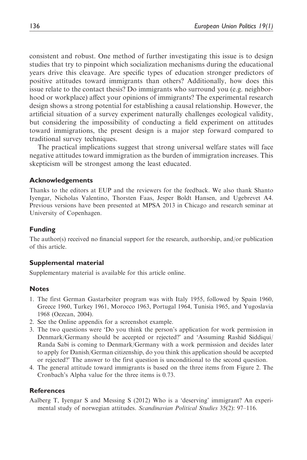consistent and robust. One method of further investigating this issue is to design studies that try to pinpoint which socialization mechanisms during the educational years drive this cleavage. Are specific types of education stronger predictors of positive attitudes toward immigrants than others? Additionally, how does this issue relate to the contact thesis? Do immigrants who surround you (e.g. neighborhood or workplace) affect your opinions of immigrants? The experimental research design shows a strong potential for establishing a causal relationship. However, the artificial situation of a survey experiment naturally challenges ecological validity, but considering the impossibility of conducting a field experiment on attitudes toward immigrations, the present design is a major step forward compared to traditional survey techniques.

The practical implications suggest that strong universal welfare states will face negative attitudes toward immigration as the burden of immigration increases. This skepticism will be strongest among the least educated.

### Acknowledgements

Thanks to the editors at EUP and the reviewers for the feedback. We also thank Shanto Iyengar, Nicholas Valentino, Thorsten Faas, Jesper Boldt Hansen, and Ugebrevet A4. Previous versions have been presented at MPSA 2013 in Chicago and research seminar at University of Copenhagen.

### Funding

The author(s) received no financial support for the research, authorship, and/or publication of this article.

#### Supplemental material

Supplementary material is available for this article online.

#### Notes

- 1. The first German Gastarbeiter program was with Italy 1955, followed by Spain 1960, Greece 1960, Turkey 1961, Morocco 1963, Portugal 1964, Tunisia 1965, and Yugoslavia 1968 (Oezcan, 2004).
- 2. See the Online appendix for a screenshot example.
- 3. The two questions were 'Do you think the person's application for work permission in Denmark/Germany should be accepted or rejected?' and 'Assuming Rashid Siddiqui/ Randa Sabi is coming to Denmark/Germany with a work permission and decides later to apply for Danish/German citizenship, do you think this application should be accepted or rejected?' The answer to the first question is unconditional to the second question.
- 4. The general attitude toward immigrants is based on the three items from Figure 2. The Cronbach's Alpha value for the three items is 0.73.

#### References

Aalberg T, Iyengar S and Messing S (2012) Who is a 'deserving' immigrant? An experimental study of norwegian attitudes. Scandinavian Political Studies 35(2): 97–116.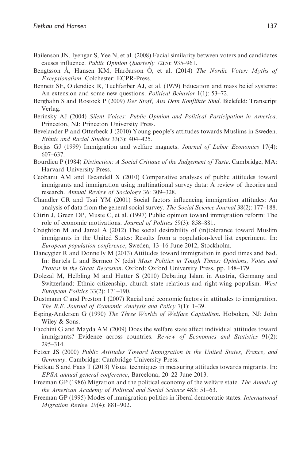- Bailenson JN, Iyengar S, Yee N, et al. (2008) Facial similarity between voters and candidates causes influence. Public Opinion Quarterly 72(5): 935–961.
- Bengtsson Å, Hansen KM, Harðarson Ó, et al. (2014) The Nordic Voter: Myths of Exceptionalism. Colchester: ECPR-Press.
- Bennett SE, Oldendick R, Tuchfarber AJ, et al. (1979) Education and mass belief systems: An extension and some new questions. Political Behavior 1(1): 53–72.
- Berghahn S and Rostock P (2009) Der Stoff, Aus Dem Konflikte Sind. Bielefeld: Transcript Verlag.
- Berinsky AJ (2004) Silent Voices: Public Opinion and Political Participation in America. Princeton, NJ: Princeton University Press.
- Bevelander P and Otterbeck J (2010) Young people's attitudes towards Muslims in Sweden. Ethnic and Racial Studies 33(3): 404–425.
- Borjas GJ (1999) Immigration and welfare magnets. Journal of Labor Economics 17(4): 607–637.
- Bourdieu P (1984) Distinction: A Social Critique of the Judgement of Taste. Cambridge, MA: Harvard University Press.
- Ceobanu AM and Escandell X (2010) Comparative analyses of public attitudes toward immigrants and immigration using multinational survey data: A review of theories and research. Annual Review of Sociology 36: 309–328.
- Chandler CR and Tsai YM (2001) Social factors influencing immigration attitudes: An analysis of data from the general social survey. The Social Science Journal 38(2): 177–188.
- Citrin J, Green DP, Muste C, et al. (1997) Public opinion toward immigration reform: The role of economic motivations. Journal of Politics 59(3): 858–881.
- Creighton M and Jamal A (2012) The social desirability of (in)tolerance toward Muslim immigrants in the United States: Results from a population-level list experiment. In: European population conference, Sweden, 13–16 June 2012, Stockholm.
- Dancygier R and Donnelly M (2013) Attitudes toward immigration in good times and bad. In: Bartels L and Bermeo N (eds) Mass Politics in Tough Times: Opinions, Votes and Protest in the Great Recession. Oxford: Oxford University Press, pp. 148-179.
- Dolezal M, Helbling M and Hutter S (2010) Debating Islam in Austria, Germany and Switzerland: Ethnic citizenship, church–state relations and right-wing populism. West European Politics 33(2): 171–190.
- Dustmann C and Preston I (2007) Racial and economic factors in attitudes to immigration. The B.E. Journal of Economic Analysis and Policy 7(1): 1–39.
- Esping-Andersen G (1990) The Three Worlds of Welfare Capitalism. Hoboken, NJ: John Wiley & Sons.
- Facchini G and Mayda AM (2009) Does the welfare state affect individual attitudes toward immigrants? Evidence across countries. Review of Economics and Statistics 91(2): 295–314.
- Fetzer JS (2000) Public Attitudes Toward Immigration in the United States, France, and Germany. Cambridge: Cambridge University Press.
- Fietkau S and Faas T (2013) Visual techniques in measuring attitudes towards migrants. In: EPSA annual general conference, Barcelona, 20–22 June 2013.
- Freeman GP (1986) Migration and the political economy of the welfare state. The Annals of the American Academy of Political and Social Science 485: 51–63.
- Freeman GP (1995) Modes of immigration politics in liberal democratic states. International Migration Review 29(4): 881–902.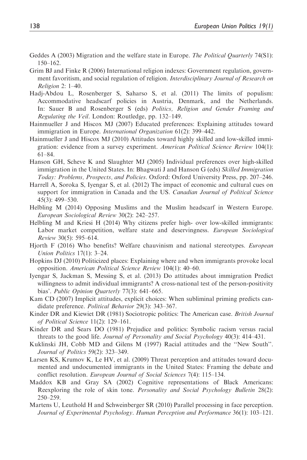- Geddes A (2003) Migration and the welfare state in Europe. The Political Quarterly 74(S1): 150–162.
- Grim BJ and Finke R (2006) International religion indexes: Government regulation, government favoritism, and social regulation of religion. Interdisciplinary Journal of Research on Religion 2: 1–40.
- Hadj-Abdou L, Rosenberger S, Saharso S, et al. (2011) The limits of populism: Accommodative headscarf policies in Austria, Denmark, and the Netherlands. In: Sauer B and Rosenberger S (eds) Politics, Religion and Gender Framing and Regulating the Veil. London: Routledge, pp. 132–149.
- Hainmueller J and Hiscox MJ (2007) Educated preferences: Explaining attitudes toward immigration in Europe. International Organization 61(2): 399–442.
- Hainmueller J and Hiscox MJ (2010) Attitudes toward highly skilled and low-skilled immigration: evidence from a survey experiment. American Political Science Review 104(1): 61–84.
- Hanson GH, Scheve K and Slaughter MJ (2005) Individual preferences over high-skilled immigration in the United States. In: Bhagwati J and Hanson G (eds) Skilled Immigration Today: Problems, Prospects, and Policies. Oxford: Oxford University Press, pp. 207–246.
- Harrell A, Soroka S, Iyengar S, et al. (2012) The impact of economic and cultural cues on support for immigration in Canada and the US. Canadian Journal of Political Science 45(3): 499–530.
- Helbling M (2014) Opposing Muslims and the Muslim headscarf in Western Europe. European Sociological Review 30(2): 242–257.
- Helbling M and Kriesi H (2014) Why citizens prefer high- over low-skilled immigrants: Labor market competition, welfare state and deservingness. European Sociological Review 30(5): 595–614.
- Hjorth F (2016) Who benefits? Welfare chauvinism and national stereotypes. European Union Politics 17(1): 3–24.
- Hopkins DJ (2010) Politicized places: Explaining where and when immigrants provoke local opposition. American Political Science Review 104(1): 40–60.
- Iyengar S, Jackman S, Messing S, et al. (2013) Do attitudes about immigration Predict willingness to admit individual immigrants? A cross-national test of the person-positivity bias'. Public Opinion Quarterly 77(3): 641–665.
- Kam CD (2007) Implicit attitudes, explicit choices: When subliminal priming predicts candidate preference. Political Behavior 29(3): 343–367.
- Kinder DR and Kiewiet DR (1981) Sociotropic politics: The American case. *British Journal* of Political Science 11(2): 129–161.
- Kinder DR and Sears DO (1981) Prejudice and politics: Symbolic racism versus racial threats to the good life. Journal of Personality and Social Psychology 40(3): 414–431.
- Kuklinski JH, Cobb MD and Gilens M (1997) Racial attitudes and the ''New South''. Journal of Politics 59(2): 323–349.
- Larsen KS, Krumov K, Le HV, et al. (2009) Threat perception and attitudes toward documented and undocumented immigrants in the United States: Framing the debate and conflict resolution. European Journal of Social Sciences 7(4): 115–134.
- Maddox KB and Gray SA (2002) Cognitive representations of Black Americans: Reexploring the role of skin tone. *Personality and Social Psychology Bulletin* 28(2): 250–259.
- Martens U, Leuthold H and Schweinberger SR (2010) Parallel processing in face perception. Journal of Experimental Psychology. Human Perception and Performance 36(1): 103–121.